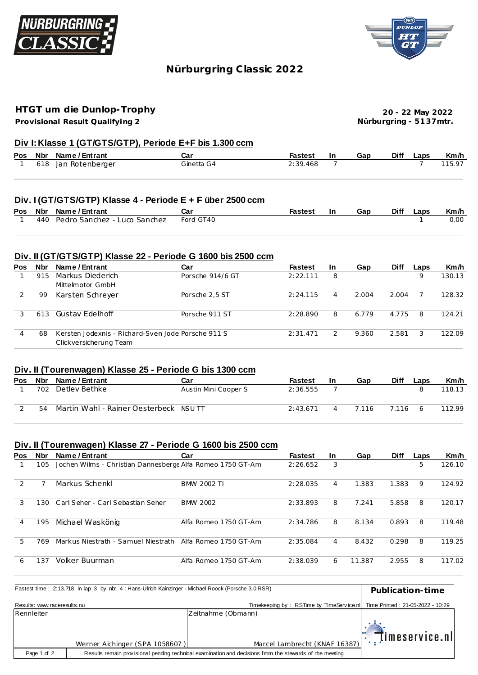



# **Nürburgring C lassic 2022**

# **HTGT um die Dunlop-Trophy**

**Provisional Result Qualifying 2**

**20 - 22 May 2022 Nürburgring - 51 37mtr.**

## **Div I: Klasse 1 (GT/GTS/GTP), Periode E+F bis 1.300 ccm**

|  | Pos Nbr Name/Entrant | Car        | <b>Fastest</b> | - In | Gap | Diff Laps | Km/h   |
|--|----------------------|------------|----------------|------|-----|-----------|--------|
|  | 618 Jan Rotenberger  | Ginetta G4 | 2:39.468       |      |     |           | 115.97 |

## **Div. I (GT/GTS/GTP) Klasse 4 - Periode E + F über 2500 ccm**

|  | Pos Nbr Name / Entrant           | Ca:       | Fastest | Gap | <b>Diff</b> | Laps | Km/h |
|--|----------------------------------|-----------|---------|-----|-------------|------|------|
|  | 440 Pedro Sanchez - Luco Sanchez | Ford GT40 |         |     |             |      | 0.00 |

## **Div. II (GT/GTS/GTP) Klasse 22 - Periode G 1600 bis 2500 ccm**

| Nbr | Name / Entrant         | Car              | <b>Fastest</b>                                     | <b>In</b>      | Gap   | <b>Diff</b> | Laps | Km/h   |
|-----|------------------------|------------------|----------------------------------------------------|----------------|-------|-------------|------|--------|
| 915 | Markus Diederich       | Porsche 914/6 GT | 2:22.111                                           | 8              |       |             | 9    | 130.13 |
|     | Mittelmotor GmbH       |                  |                                                    |                |       |             |      |        |
| 99  | Karsten Schrever       | Porsche 2.5 ST   | 2:24.115                                           | $\overline{4}$ | 2.004 | 2.004       |      | 128.32 |
|     |                        |                  |                                                    |                |       |             |      |        |
| 613 |                        | Porsche 911 ST   | 2:28.890                                           | 8              | 6.779 |             | 8    | 124.21 |
|     |                        |                  |                                                    |                |       |             |      |        |
| 68  |                        |                  | 2:31.471                                           | $\mathcal{L}$  | 9.360 | 2.581       | 3    | 122.09 |
|     | Clickversicherung Team |                  |                                                    |                |       |             |      |        |
|     |                        | Gustav Edelhoff  | Kersten Jodexnis - Richard-Sven Jode Porsche 911 S |                |       |             |      | 4.775  |

## **Div. II (Tourenwagen) Klasse 25 - Periode G bis 1300 ccm**

| Pos | Nbr | Name / Entrant                        | Car                  | <b>Fastest</b> | -In | Gap   | Diff  | Laps | Km/h   |
|-----|-----|---------------------------------------|----------------------|----------------|-----|-------|-------|------|--------|
|     | 702 | Detlev Bethke                         | Austin Mini Cooper S | 2:36.555       |     |       |       |      | 118.13 |
|     | 54  | Martin Wahl - Rainer Oesterbeck NSUTT |                      | 2:43.671       |     | 7.116 | 7.116 |      | 112.99 |

#### **Div. II (Tourenwagen) Klasse 27 - Periode G 1600 bis 2500 ccm**

| <b>Pos</b> | <b>Nbr</b> | Name / Entrant                                             | Car                   | <b>Fastest</b> | <b>In</b> | Gap    | <b>Diff</b> | Laps | Km/h   |
|------------|------------|------------------------------------------------------------|-----------------------|----------------|-----------|--------|-------------|------|--------|
|            | 105        | Jochen Wilms - Christian Dannesberge Alfa Romeo 1750 GT-Am |                       | 2:26.652       | 3         |        |             | 5    | 126.10 |
| 2          |            | Markus Schenkl                                             | BMW 2002 TI           | 2:28.035       | 4         | 1.383  | 1.383       | 9    | 124.92 |
| 3          | 130        | Carl Seher - Carl Sebastian Seher                          | BMW 2002              | 2:33.893       | 8         | 7.241  | 5.858       | 8    | 120.17 |
| 4          | 195        | Michael Waskönig                                           | Alfa Romeo 1750 GT-Am | 2:34.786       | 8         | 8.134  | 0.893       | 8    | 119.48 |
| 5          | 769        | Markus Niestrath - Samuel Niestrath Alfa Romeo 1750 GT-Am  |                       | 2:35.084       | 4         | 8.432  | 0.298       | 8    | 119.25 |
| 6          | 137        | Volker Buurman                                             | Alfa Romeo 1750 GT-Am | 2:38.039       | 6         | 11.387 | 2.955       | 8    | 117.02 |

|                             | Fastest time: 2:13.718 in lap 3 by nbr. 4: Hans-Ulrich Kainzinger - Michael Roock (Porsche 3.0 RSR) |                                                                                                         | Publication-time                 |
|-----------------------------|-----------------------------------------------------------------------------------------------------|---------------------------------------------------------------------------------------------------------|----------------------------------|
| Results: www.raceresults.nu |                                                                                                     | Timekeeping by: RSTime by TimeService.nl                                                                | Time Printed: 21-05-2022 - 10:29 |
| Rennleiter                  |                                                                                                     | Zeitnahme (Obmann)                                                                                      |                                  |
|                             |                                                                                                     |                                                                                                         | $\mathbb{R}$ (imeservice.nll     |
|                             | Werner Aichinger (SPA 1058607)                                                                      | Marcel Lambrecht (KNAF 16387)                                                                           |                                  |
| Page 1 of 2                 |                                                                                                     | Results remain provisional pending technical examination and decisions from the stewards of the meeting |                                  |